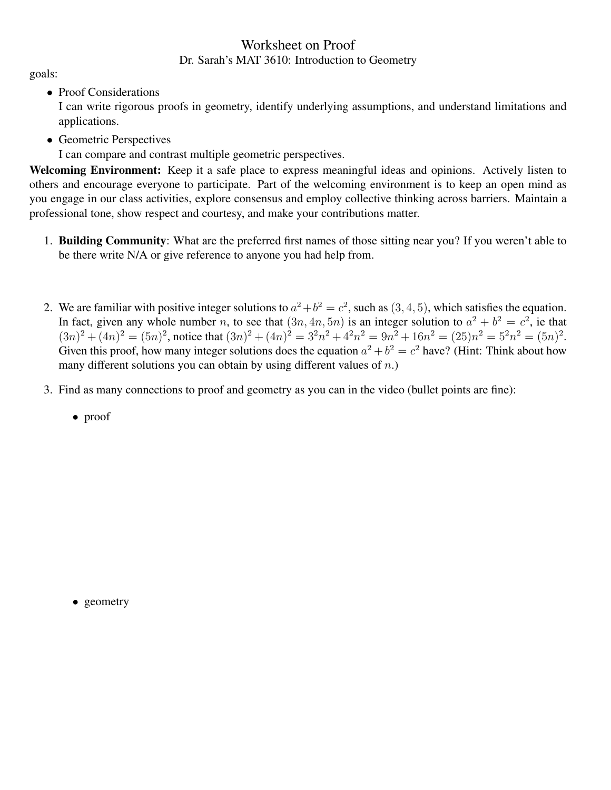## Worksheet on Proof Dr. Sarah's MAT 3610: Introduction to Geometry

goals:

• Proof Considerations

I can write rigorous proofs in geometry, identify underlying assumptions, and understand limitations and applications.

• Geometric Perspectives

I can compare and contrast multiple geometric perspectives.

Welcoming Environment: Keep it a safe place to express meaningful ideas and opinions. Actively listen to others and encourage everyone to participate. Part of the welcoming environment is to keep an open mind as you engage in our class activities, explore consensus and employ collective thinking across barriers. Maintain a professional tone, show respect and courtesy, and make your contributions matter.

- 1. Building Community: What are the preferred first names of those sitting near you? If you weren't able to be there write N/A or give reference to anyone you had help from.
- 2. We are familiar with positive integer solutions to  $a^2 + b^2 = c^2$ , such as  $(3, 4, 5)$ , which satisfies the equation. In fact, given any whole number n, to see that  $(3n, 4n, 5n)$  is an integer solution to  $a^2 + b^2 = c^2$ , ie that  $(3n)^{2} + (4n)^{2} = (5n)^{2}$ , notice that  $(3n)^{2} + (4n)^{2} = 3^{2}n^{2} + 4^{2}n^{2} = 9n^{2} + 16n^{2} = (25)n^{2} = 5^{2}n^{2} = (5n)^{2}$ . Given this proof, how many integer solutions does the equation  $a^2 + b^2 = c^2$  have? (Hint: Think about how many different solutions you can obtain by using different values of  $n$ .)
- 3. Find as many connections to proof and geometry as you can in the video (bullet points are fine):
	- proof

• geometry